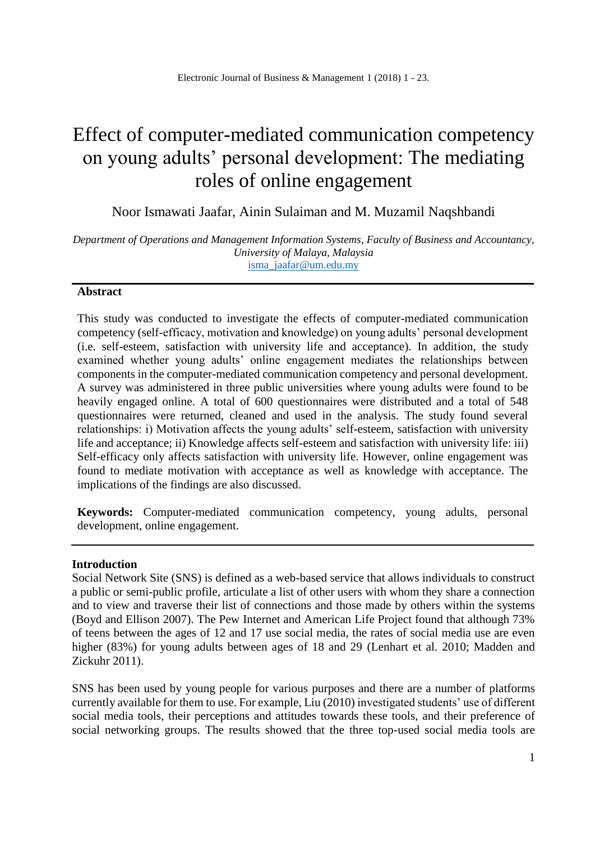# Effect of computer-mediated communication competency on young adults' personal development: The mediating roles of online engagement

Noor Ismawati Jaafar, Ainin Sulaiman and M. Muzamil Naqshbandi

*Department of Operations and Management Information Systems, Faculty of Business and Accountancy, University of Malaya, Malaysia* [isma\\_jaafar@um.edu.my](mailto:isma_jaafar@um.edu.my)

#### **Abstract**

This study was conducted to investigate the effects of computer-mediated communication competency (self-efficacy, motivation and knowledge) on young adults' personal development (i.e. self-esteem, satisfaction with university life and acceptance). In addition, the study examined whether young adults' online engagement mediates the relationships between components in the computer-mediated communication competency and personal development. A survey was administered in three public universities where young adults were found to be heavily engaged online. A total of 600 questionnaires were distributed and a total of 548 questionnaires were returned, cleaned and used in the analysis. The study found several relationships: i) Motivation affects the young adults' self-esteem, satisfaction with university life and acceptance; ii) Knowledge affects self-esteem and satisfaction with university life: iii) Self-efficacy only affects satisfaction with university life. However, online engagement was found to mediate motivation with acceptance as well as knowledge with acceptance. The implications of the findings are also discussed.

**Keywords:** Computer-mediated communication competency, young adults, personal development, online engagement.

#### **Introduction**

Social Network Site (SNS) is defined as a web-based service that allows individuals to construct a public or semi-public profile, articulate a list of other users with whom they share a connection and to view and traverse their list of connections and those made by others within the systems (Boyd and Ellison 2007). The Pew Internet and American Life Project found that although 73% of teens between the ages of 12 and 17 use social media, the rates of social media use are even higher (83%) for young adults between ages of 18 and 29 (Lenhart et al. 2010; Madden and Zickuhr 2011).

SNS has been used by young people for various purposes and there are a number of platforms currently available for them to use. For example, Liu (2010) investigated students' use of different social media tools, their perceptions and attitudes towards these tools, and their preference of social networking groups. The results showed that the three top-used social media tools are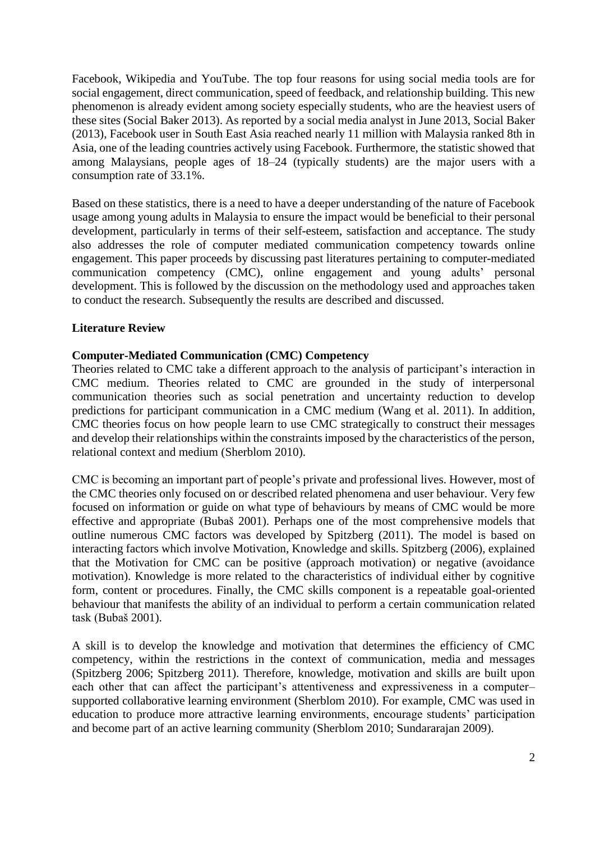Facebook, Wikipedia and YouTube. The top four reasons for using social media tools are for social engagement, direct communication, speed of feedback, and relationship building. This new phenomenon is already evident among society especially students, who are the heaviest users of these sites (Social Baker 2013). As reported by a social media analyst in June 2013, Social Baker (2013), Facebook user in South East Asia reached nearly 11 million with Malaysia ranked 8th in Asia, one of the leading countries actively using Facebook. Furthermore, the statistic showed that among Malaysians, people ages of 18–24 (typically students) are the major users with a consumption rate of 33.1%.

Based on these statistics, there is a need to have a deeper understanding of the nature of Facebook usage among young adults in Malaysia to ensure the impact would be beneficial to their personal development, particularly in terms of their self-esteem, satisfaction and acceptance. The study also addresses the role of computer mediated communication competency towards online engagement. This paper proceeds by discussing past literatures pertaining to computer-mediated communication competency (CMC), online engagement and young adults' personal development. This is followed by the discussion on the methodology used and approaches taken to conduct the research. Subsequently the results are described and discussed.

# **Literature Review**

# **Computer-Mediated Communication (CMC) Competency**

Theories related to CMC take a different approach to the analysis of participant's interaction in CMC medium. Theories related to CMC are grounded in the study of interpersonal communication theories such as social penetration and uncertainty reduction to develop predictions for participant communication in a CMC medium (Wang et al. 2011). In addition, CMC theories focus on how people learn to use CMC strategically to construct their messages and develop their relationships within the constraints imposed by the characteristics of the person, relational context and medium (Sherblom 2010).

CMC is becoming an important part of people's private and professional lives. However, most of the CMC theories only focused on or described related phenomena and user behaviour. Very few focused on information or guide on what type of behaviours by means of CMC would be more effective and appropriate (Bubaš 2001). Perhaps one of the most comprehensive models that outline numerous CMC factors was developed by Spitzberg (2011). The model is based on interacting factors which involve Motivation, Knowledge and skills. Spitzberg (2006), explained that the Motivation for CMC can be positive (approach motivation) or negative (avoidance motivation). Knowledge is more related to the characteristics of individual either by cognitive form, content or procedures. Finally, the CMC skills component is a repeatable goal-oriented behaviour that manifests the ability of an individual to perform a certain communication related task (Bubaš 2001).

A skill is to develop the knowledge and motivation that determines the efficiency of CMC competency, within the restrictions in the context of communication, media and messages (Spitzberg 2006; Spitzberg 2011). Therefore, knowledge, motivation and skills are built upon each other that can affect the participant's attentiveness and expressiveness in a computer– supported collaborative learning environment (Sherblom 2010). For example, CMC was used in education to produce more attractive learning environments, encourage students' participation and become part of an active learning community (Sherblom 2010; Sundararajan 2009).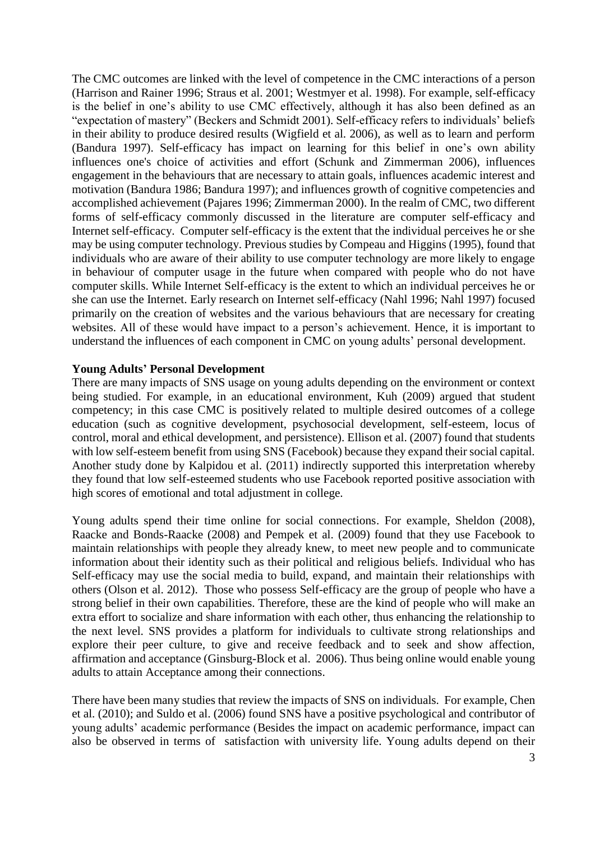The CMC outcomes are linked with the level of competence in the CMC interactions of a person (Harrison and Rainer 1996; Straus et al. 2001; Westmyer et al. 1998). For example, self-efficacy is the belief in one's ability to use CMC effectively, although it has also been defined as an "expectation of mastery" (Beckers and Schmidt 2001). Self-efficacy refers to individuals' beliefs in their ability to produce desired results (Wigfield et al. 2006), as well as to learn and perform (Bandura 1997). Self-efficacy has impact on learning for this belief in one's own ability influences one's choice of activities and effort (Schunk and Zimmerman 2006), influences engagement in the behaviours that are necessary to attain goals, influences academic interest and motivation (Bandura 1986; Bandura 1997); and influences growth of cognitive competencies and accomplished achievement (Pajares 1996; Zimmerman 2000). In the realm of CMC, two different forms of self-efficacy commonly discussed in the literature are computer self-efficacy and Internet self-efficacy. Computer self-efficacy is the extent that the individual perceives he or she may be using computer technology. Previous studies by Compeau and Higgins (1995), found that individuals who are aware of their ability to use computer technology are more likely to engage in behaviour of computer usage in the future when compared with people who do not have computer skills. While Internet Self-efficacy is the extent to which an individual perceives he or she can use the Internet. Early research on Internet self-efficacy (Nahl 1996; Nahl 1997) focused primarily on the creation of websites and the various behaviours that are necessary for creating websites. All of these would have impact to a person's achievement. Hence, it is important to understand the influences of each component in CMC on young adults' personal development.

## **Young Adults' Personal Development**

There are many impacts of SNS usage on young adults depending on the environment or context being studied. For example, in an educational environment, Kuh (2009) argued that student competency; in this case CMC is positively related to multiple desired outcomes of a college education (such as cognitive development, psychosocial development, self-esteem, locus of control, moral and ethical development, and persistence). Ellison et al. (2007) found that students with low self-esteem benefit from using SNS (Facebook) because they expand their social capital. Another study done by Kalpidou et al. (2011) indirectly supported this interpretation whereby they found that low self-esteemed students who use Facebook reported positive association with high scores of emotional and total adjustment in college.

Young adults spend their time online for social connections. For example, Sheldon (2008), Raacke and Bonds-Raacke (2008) and Pempek et al. (2009) found that they use Facebook to maintain relationships with people they already knew, to meet new people and to communicate information about their identity such as their political and religious beliefs. Individual who has Self-efficacy may use the social media to build, expand, and maintain their relationships with others (Olson et al. 2012). Those who possess Self-efficacy are the group of people who have a strong belief in their own capabilities. Therefore, these are the kind of people who will make an extra effort to socialize and share information with each other, thus enhancing the relationship to the next level. SNS provides a platform for individuals to cultivate strong relationships and explore their peer culture, to give and receive feedback and to seek and show affection, affirmation and acceptance (Ginsburg-Block et al. 2006). Thus being online would enable young adults to attain Acceptance among their connections.

There have been many studies that review the impacts of SNS on individuals. For example, Chen et al. (2010); and Suldo et al. (2006) found SNS have a positive psychological and contributor of young adults' academic performance (Besides the impact on academic performance, impact can also be observed in terms of satisfaction with university life. Young adults depend on their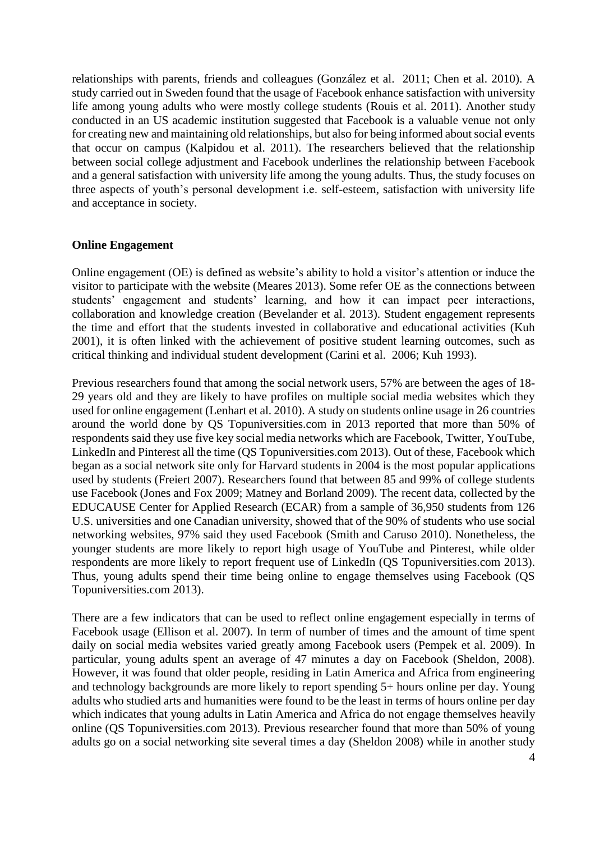relationships with parents, friends and colleagues (González et al. 2011; Chen et al. 2010). A study carried out in Sweden found that the usage of Facebook enhance satisfaction with university life among young adults who were mostly college students (Rouis et al. 2011). Another study conducted in an US academic institution suggested that Facebook is a valuable venue not only for creating new and maintaining old relationships, but also for being informed about social events that occur on campus (Kalpidou et al. 2011). The researchers believed that the relationship between social college adjustment and Facebook underlines the relationship between Facebook and a general satisfaction with university life among the young adults. Thus, the study focuses on three aspects of youth's personal development i.e. self-esteem, satisfaction with university life and acceptance in society.

#### **Online Engagement**

Online engagement (OE) is defined as website's ability to hold a visitor's attention or induce the visitor to participate with the website (Meares 2013). Some refer OE as the connections between students' engagement and students' learning, and how it can impact peer interactions, collaboration and knowledge creation (Bevelander et al. 2013). Student engagement represents the time and effort that the students invested in collaborative and educational activities (Kuh 2001), it is often linked with the achievement of positive student learning outcomes, such as critical thinking and individual student development (Carini et al. 2006; Kuh 1993).

Previous researchers found that among the social network users, 57% are between the ages of 18- 29 years old and they are likely to have profiles on multiple social media websites which they used for online engagement (Lenhart et al. 2010). A study on students online usage in 26 countries around the world done by QS Topuniversities.com in 2013 reported that more than 50% of respondents said they use five key social media networks which are Facebook, Twitter, YouTube, LinkedIn and Pinterest all the time (QS Topuniversities.com 2013). Out of these, Facebook which began as a social network site only for Harvard students in 2004 is the most popular applications used by students (Freiert 2007). Researchers found that between 85 and 99% of college students use Facebook (Jones and Fox 2009; Matney and Borland 2009). The recent data, collected by the EDUCAUSE Center for Applied Research (ECAR) from a sample of 36,950 students from 126 U.S. universities and one Canadian university, showed that of the 90% of students who use social networking websites, 97% said they used Facebook (Smith and Caruso 2010). Nonetheless, the younger students are more likely to report high usage of YouTube and Pinterest, while older respondents are more likely to report frequent use of LinkedIn (QS Topuniversities.com 2013). Thus, young adults spend their time being online to engage themselves using Facebook (QS Topuniversities.com 2013).

There are a few indicators that can be used to reflect online engagement especially in terms of Facebook usage (Ellison et al. 2007). In term of number of times and the amount of time spent daily on social media websites varied greatly among Facebook users (Pempek et al. 2009). In particular, young adults spent an average of 47 minutes a day on Facebook (Sheldon, 2008). However, it was found that older people, residing in Latin America and Africa from engineering and technology backgrounds are more likely to report spending 5+ hours online per day. Young adults who studied arts and humanities were found to be the least in terms of hours online per day which indicates that young adults in Latin America and Africa do not engage themselves heavily online (QS Topuniversities.com 2013). Previous researcher found that more than 50% of young adults go on a social networking site several times a day (Sheldon 2008) while in another study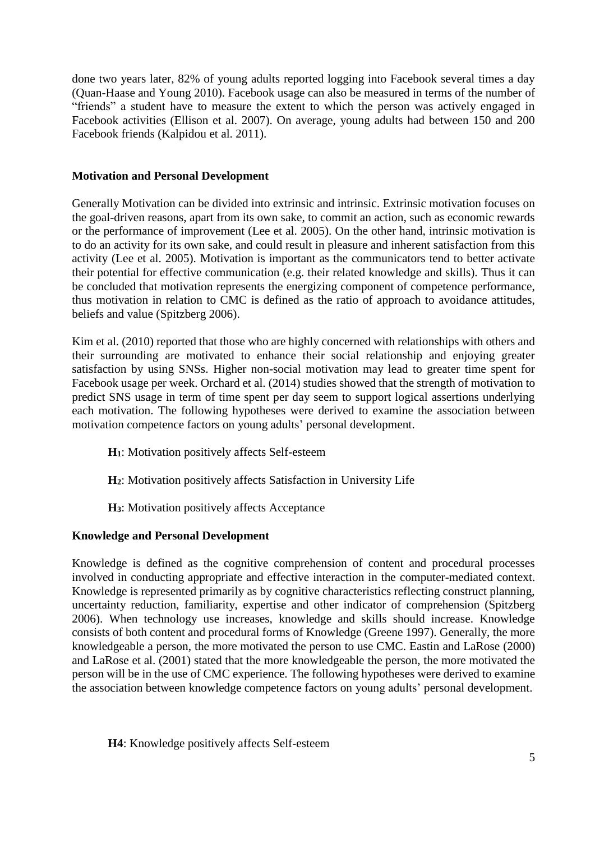done two years later, 82% of young adults reported logging into Facebook several times a day (Quan-Haase and Young 2010). Facebook usage can also be measured in terms of the number of "friends" a student have to measure the extent to which the person was actively engaged in Facebook activities (Ellison et al. 2007). On average, young adults had between 150 and 200 Facebook friends (Kalpidou et al. 2011).

# **Motivation and Personal Development**

Generally Motivation can be divided into extrinsic and intrinsic. Extrinsic motivation focuses on the goal-driven reasons, apart from its own sake, to commit an action, such as economic rewards or the performance of improvement (Lee et al. 2005). On the other hand, intrinsic motivation is to do an activity for its own sake, and could result in pleasure and inherent satisfaction from this activity (Lee et al. 2005). Motivation is important as the communicators tend to better activate their potential for effective communication (e.g. their related knowledge and skills). Thus it can be concluded that motivation represents the energizing component of competence performance, thus motivation in relation to CMC is defined as the ratio of approach to avoidance attitudes, beliefs and value (Spitzberg 2006).

Kim et al. (2010) reported that those who are highly concerned with relationships with others and their surrounding are motivated to enhance their social relationship and enjoying greater satisfaction by using SNSs. Higher non-social motivation may lead to greater time spent for Facebook usage per week. Orchard et al. (2014) studies showed that the strength of motivation to predict SNS usage in term of time spent per day seem to support logical assertions underlying each motivation. The following hypotheses were derived to examine the association between motivation competence factors on young adults' personal development.

- **H1**: Motivation positively affects Self-esteem
- **H2**: Motivation positively affects Satisfaction in University Life
- **H3**: Motivation positively affects Acceptance

# **Knowledge and Personal Development**

Knowledge is defined as the cognitive comprehension of content and procedural processes involved in conducting appropriate and effective interaction in the computer-mediated context. Knowledge is represented primarily as by cognitive characteristics reflecting construct planning, uncertainty reduction, familiarity, expertise and other indicator of comprehension (Spitzberg 2006). When technology use increases, knowledge and skills should increase. Knowledge consists of both content and procedural forms of Knowledge (Greene 1997). Generally, the more knowledgeable a person, the more motivated the person to use CMC. Eastin and LaRose (2000) and LaRose et al. (2001) stated that the more knowledgeable the person, the more motivated the person will be in the use of CMC experience. The following hypotheses were derived to examine the association between knowledge competence factors on young adults' personal development.

**H4**: Knowledge positively affects Self-esteem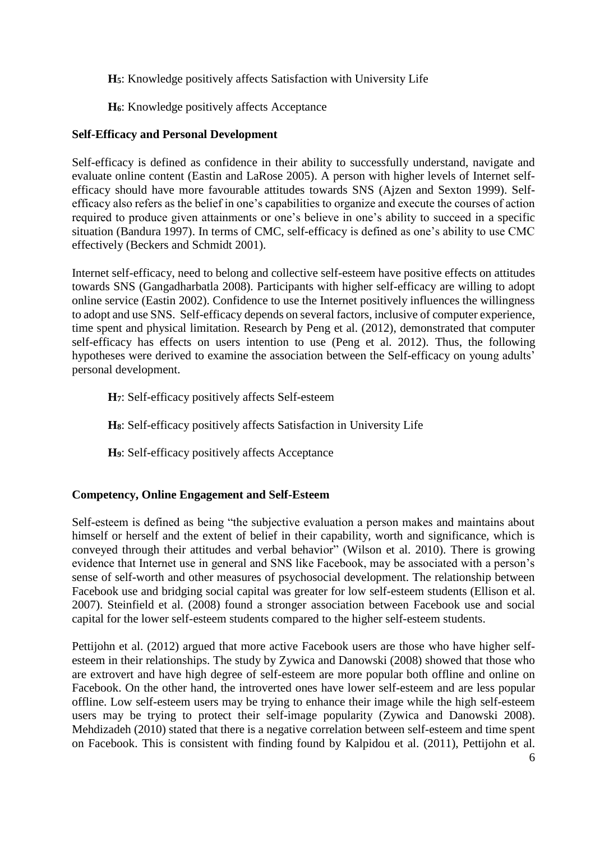- **H5**: Knowledge positively affects Satisfaction with University Life
- **H6**: Knowledge positively affects Acceptance

# **Self-Efficacy and Personal Development**

Self-efficacy is defined as confidence in their ability to successfully understand, navigate and evaluate online content (Eastin and LaRose 2005). A person with higher levels of Internet selfefficacy should have more favourable attitudes towards SNS (Ajzen and Sexton 1999). Selfefficacy also refers as the belief in one's capabilities to organize and execute the courses of action required to produce given attainments or one's believe in one's ability to succeed in a specific situation (Bandura 1997). In terms of CMC, self-efficacy is defined as one's ability to use CMC effectively (Beckers and Schmidt 2001).

Internet self-efficacy, need to belong and collective self-esteem have positive effects on attitudes towards SNS (Gangadharbatla 2008). Participants with higher self-efficacy are willing to adopt online service (Eastin 2002). Confidence to use the Internet positively influences the willingness to adopt and use SNS. Self-efficacy depends on several factors, inclusive of computer experience, time spent and physical limitation. Research by Peng et al. (2012), demonstrated that computer self-efficacy has effects on users intention to use (Peng et al. 2012). Thus, the following hypotheses were derived to examine the association between the Self-efficacy on young adults' personal development.

**H7**: Self-efficacy positively affects Self-esteem

**H8**: Self-efficacy positively affects Satisfaction in University Life

**H9**: Self-efficacy positively affects Acceptance

# **Competency, Online Engagement and Self-Esteem**

Self-esteem is defined as being "the subjective evaluation a person makes and maintains about himself or herself and the extent of belief in their capability, worth and significance, which is conveyed through their attitudes and verbal behavior" (Wilson et al. 2010). There is growing evidence that Internet use in general and SNS like Facebook, may be associated with a person's sense of self-worth and other measures of psychosocial development. The relationship between Facebook use and bridging social capital was greater for low self-esteem students (Ellison et al. 2007). Steinfield et al. (2008) found a stronger association between Facebook use and social capital for the lower self-esteem students compared to the higher self-esteem students.

[Pettijohn et al.](http://www.cyberpsychology.eu/view.php?cisloclanku=2012042901&article=1#authors) (2012) argued that more active Facebook users are those who have higher selfesteem in their relationships. The study by Zywica and Danowski (2008) showed that those who are extrovert and have high degree of self-esteem are more popular both offline and online on Facebook. On the other hand, the introverted ones have lower self-esteem and are less popular offline. Low self-esteem users may be trying to enhance their image while the high self-esteem users may be trying to protect their self-image popularity (Zywica and Danowski 2008). Mehdizadeh (2010) stated that there is a negative correlation between self-esteem and time spent on Facebook. This is consistent with finding found by Kalpidou et al. (2011), Pettijohn et al.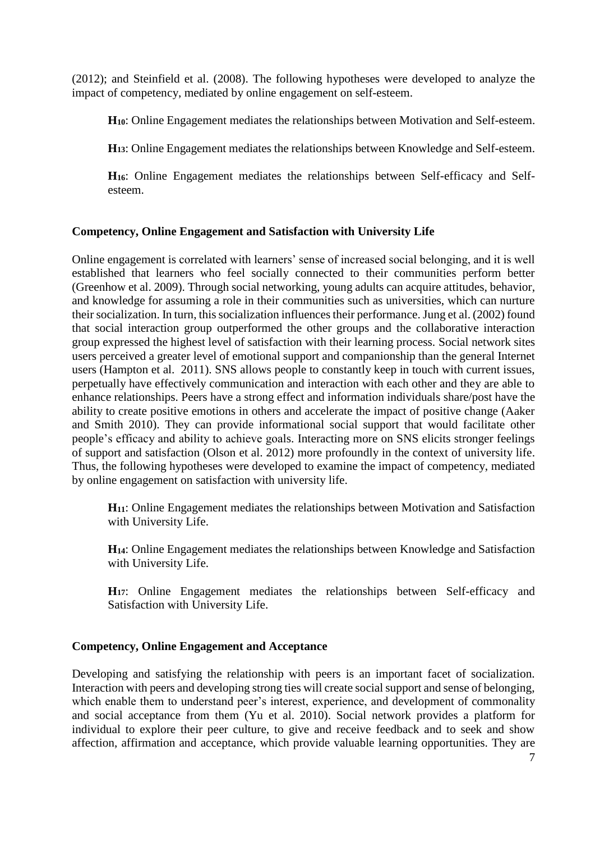(2012); and Steinfield et al. (2008). The following hypotheses were developed to analyze the impact of competency, mediated by online engagement on self-esteem.

**H10**: Online Engagement mediates the relationships between Motivation and Self-esteem.

**H13**: Online Engagement mediates the relationships between Knowledge and Self-esteem.

**H16**: Online Engagement mediates the relationships between Self-efficacy and Selfesteem.

# **Competency, Online Engagement and Satisfaction with University Life**

Online engagement is correlated with learners' sense of increased social belonging, and it is well established that learners who feel socially connected to their communities perform better (Greenhow et al. 2009). Through social networking, young adults can acquire attitudes, behavior, and knowledge for assuming a role in their communities such as universities, which can nurture their socialization. In turn, this socialization influences their performance. Jung et al. (2002) found that social interaction group outperformed the other groups and the collaborative interaction group expressed the highest level of satisfaction with their learning process. Social network sites users perceived a greater level of emotional support and companionship than the general Internet users (Hampton et al. 2011). SNS allows people to constantly keep in touch with current issues, perpetually have effectively communication and interaction with each other and they are able to enhance relationships. Peers have a strong effect and information individuals share/post have the ability to create positive emotions in others and accelerate the impact of positive change (Aaker and Smith 2010). They can provide informational social support that would facilitate other people's efficacy and ability to achieve goals. Interacting more on SNS elicits stronger feelings of support and satisfaction (Olson et al. 2012) more profoundly in the context of university life. Thus, the following hypotheses were developed to examine the impact of competency, mediated by online engagement on satisfaction with university life.

**H11**: Online Engagement mediates the relationships between Motivation and Satisfaction with University Life.

**H14**: Online Engagement mediates the relationships between Knowledge and Satisfaction with University Life.

**H17**: Online Engagement mediates the relationships between Self-efficacy and Satisfaction with University Life.

# **Competency, Online Engagement and Acceptance**

Developing and satisfying the relationship with peers is an important facet of socialization. Interaction with peers and developing strong ties will create social support and sense of belonging, which enable them to understand peer's interest, experience, and development of commonality and social acceptance from them (Yu et al. 2010). Social network provides a platform for individual to explore their peer culture, to give and receive feedback and to seek and show affection, affirmation and acceptance, which provide valuable learning opportunities. They are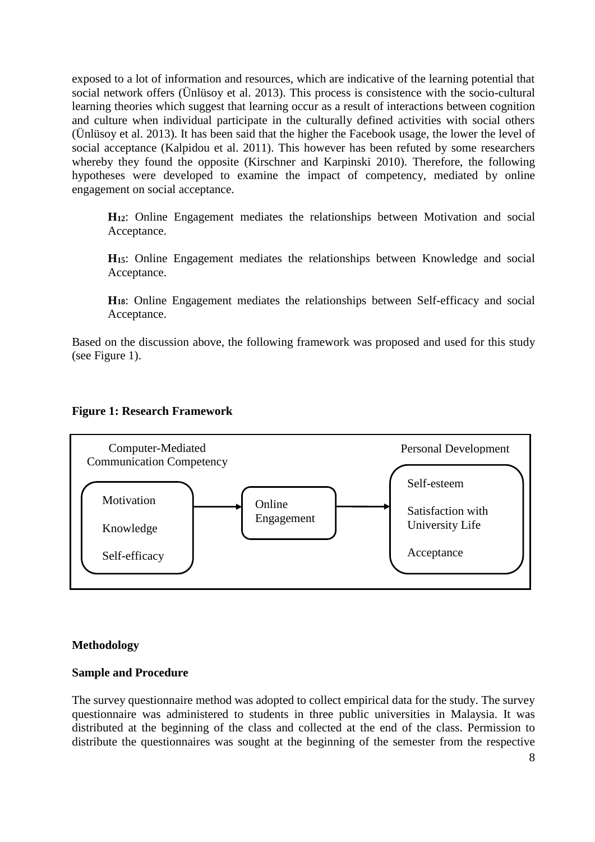exposed to a lot of information and resources, which are indicative of the learning potential that social network offers (Ünlüsoy et al. 2013). This process is consistence with the socio-cultural learning theories which suggest that learning occur as a result of interactions between cognition and culture when individual participate in the culturally defined activities with social others (Ünlüsoy et al. 2013). It has been said that the higher the Facebook usage, the lower the level of social acceptance (Kalpidou et al. 2011). This however has been refuted by some researchers whereby they found the opposite (Kirschner and Karpinski 2010). Therefore, the following hypotheses were developed to examine the impact of competency, mediated by online engagement on social acceptance.

**H12**: Online Engagement mediates the relationships between Motivation and social Acceptance.

**H15**: Online Engagement mediates the relationships between Knowledge and social Acceptance.

**H18**: Online Engagement mediates the relationships between Self-efficacy and social Acceptance.

Based on the discussion above, the following framework was proposed and used for this study (see Figure 1).

## **Figure 1: Research Framework**



#### **Methodology**

## **Sample and Procedure**

The survey questionnaire method was adopted to collect empirical data for the study. The survey questionnaire was administered to students in three public universities in Malaysia. It was distributed at the beginning of the class and collected at the end of the class. Permission to distribute the questionnaires was sought at the beginning of the semester from the respective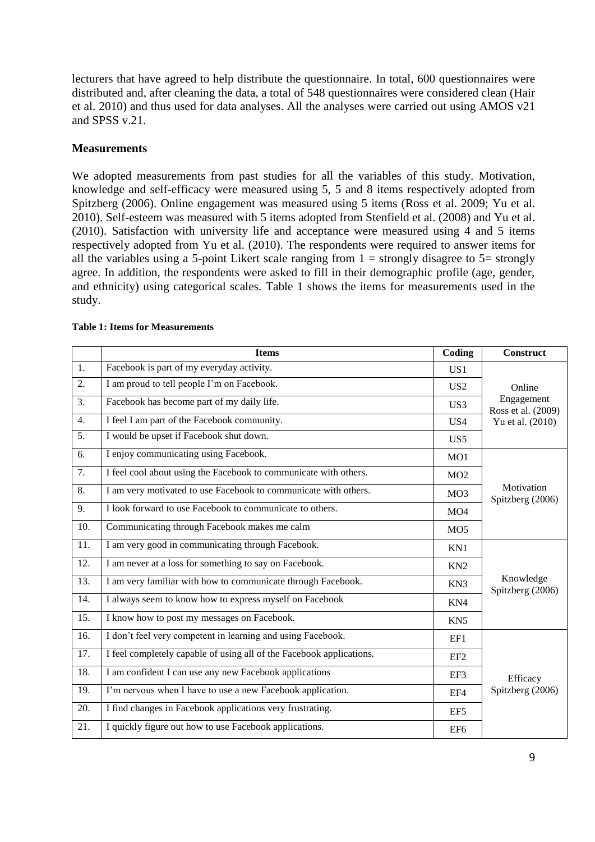lecturers that have agreed to help distribute the questionnaire. In total, 600 questionnaires were distributed and, after cleaning the data, a total of 548 questionnaires were considered clean (Hair et al. 2010) and thus used for data analyses. All the analyses were carried out using AMOS v21 and SPSS v.21.

## **Measurements**

We adopted measurements from past studies for all the variables of this study. Motivation, knowledge and self-efficacy were measured using 5, 5 and 8 items respectively adopted from Spitzberg (2006). Online engagement was measured using 5 items (Ross et al. 2009; Yu et al. 2010). Self-esteem was measured with 5 items adopted from Stenfield et al. (2008) and Yu et al. (2010). Satisfaction with university life and acceptance were measured using 4 and 5 items respectively adopted from Yu et al. (2010). The respondents were required to answer items for all the variables using a 5-point Likert scale ranging from  $1 =$  strongly disagree to  $5 =$  strongly agree. In addition, the respondents were asked to fill in their demographic profile (age, gender, and ethnicity) using categorical scales. Table 1 shows the items for measurements used in the study.

|     | <b>Items</b>                                                         | Coding          | <b>Construct</b>                 |
|-----|----------------------------------------------------------------------|-----------------|----------------------------------|
| 1.  | Facebook is part of my everyday activity.                            | US <sub>1</sub> |                                  |
| 2.  | I am proud to tell people I'm on Facebook.                           | US <sub>2</sub> | Online                           |
| 3.  | Facebook has become part of my daily life.                           | US <sub>3</sub> | Engagement<br>Ross et al. (2009) |
| 4.  | I feel I am part of the Facebook community.                          | US <sub>4</sub> | Yu et al. (2010)                 |
| 5.  | I would be upset if Facebook shut down.                              | US5             |                                  |
| 6.  | I enjoy communicating using Facebook.                                | MO1             |                                  |
| 7.  | I feel cool about using the Facebook to communicate with others.     | MO2             |                                  |
| 8.  | I am very motivated to use Facebook to communicate with others.      | MO <sub>3</sub> | Motivation<br>Spitzberg (2006)   |
| 9.  | I look forward to use Facebook to communicate to others.             | MO4             |                                  |
| 10. | Communicating through Facebook makes me calm                         | MO <sub>5</sub> |                                  |
| 11. | I am very good in communicating through Facebook.                    | KN1             |                                  |
| 12. | I am never at a loss for something to say on Facebook.               | KN <sub>2</sub> |                                  |
| 13. | I am very familiar with how to communicate through Facebook.         | KN3             | Knowledge<br>Spitzberg (2006)    |
| 14. | I always seem to know how to express myself on Facebook              | KN4             |                                  |
| 15. | I know how to post my messages on Facebook.                          | KN <sub>5</sub> |                                  |
| 16. | I don't feel very competent in learning and using Facebook.          | EF1             |                                  |
| 17. | I feel completely capable of using all of the Facebook applications. | EF <sub>2</sub> |                                  |
| 18. | I am confident I can use any new Facebook applications               | EF3             | Efficacy                         |
| 19. | I'm nervous when I have to use a new Facebook application.           | EF4             | Spitzberg (2006)                 |
| 20. | I find changes in Facebook applications very frustrating.            | EF5             |                                  |
| 21. | I quickly figure out how to use Facebook applications.               | EF <sub>6</sub> |                                  |

#### **Table 1: Items for Measurements**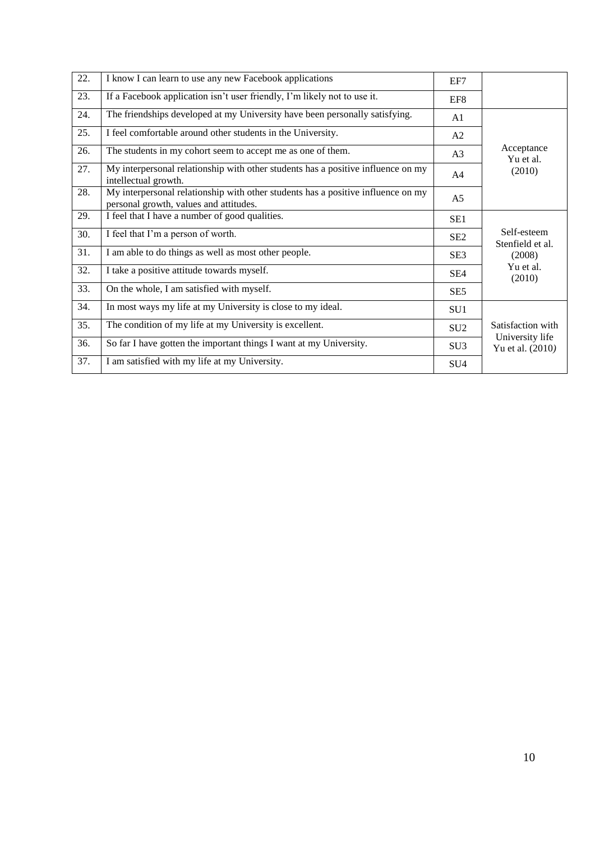| 22. | I know I can learn to use any new Facebook applications                                                                    | EF7             |                                     |
|-----|----------------------------------------------------------------------------------------------------------------------------|-----------------|-------------------------------------|
| 23. | If a Facebook application isn't user friendly, I'm likely not to use it.                                                   | EF8             |                                     |
| 24. | The friendships developed at my University have been personally satisfying.                                                | A1              |                                     |
| 25. | I feel comfortable around other students in the University.                                                                | A2              |                                     |
| 26. | The students in my cohort seem to accept me as one of them.                                                                | A <sub>3</sub>  | Acceptance<br>Yu et al.             |
| 27. | My interpersonal relationship with other students has a positive influence on my<br>intellectual growth.                   | A4              | (2010)                              |
| 28. | My interpersonal relationship with other students has a positive influence on my<br>personal growth, values and attitudes. | A <sub>5</sub>  |                                     |
| 29. | I feel that I have a number of good qualities.                                                                             | SE <sub>1</sub> |                                     |
| 30. | I feel that I'm a person of worth.                                                                                         | SE <sub>2</sub> | Self-esteem<br>Stenfield et al.     |
| 31. | I am able to do things as well as most other people.                                                                       | SE <sub>3</sub> | (2008)                              |
| 32. | I take a positive attitude towards myself.                                                                                 | SE <sub>4</sub> | Yu et al.<br>(2010)                 |
| 33. | On the whole, I am satisfied with myself.                                                                                  | SE <sub>5</sub> |                                     |
| 34. | In most ways my life at my University is close to my ideal.                                                                | SU <sub>1</sub> |                                     |
| 35. | The condition of my life at my University is excellent.                                                                    | SU <sub>2</sub> | Satisfaction with                   |
| 36. | So far I have gotten the important things I want at my University.                                                         | SU <sub>3</sub> | University life<br>Yu et al. (2010) |
| 37. | I am satisfied with my life at my University.                                                                              | SU <sub>4</sub> |                                     |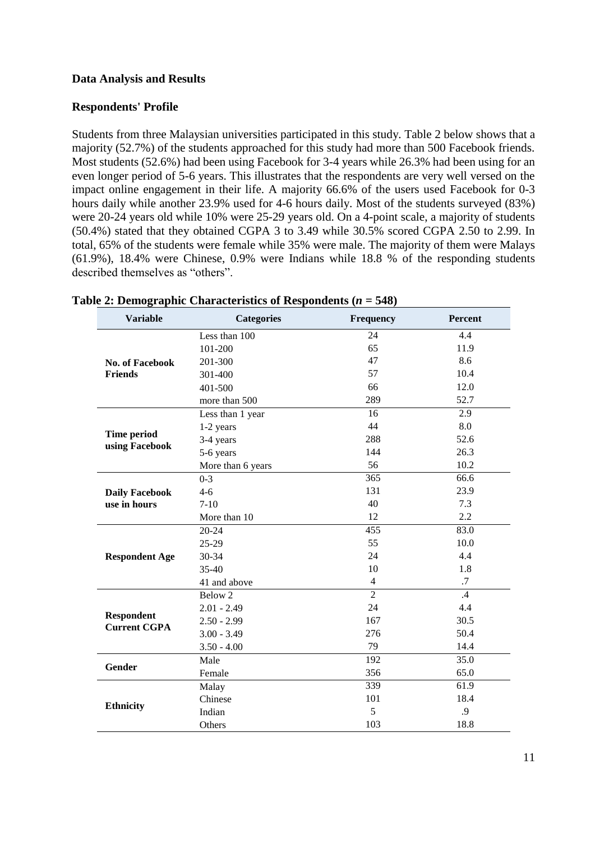# **Data Analysis and Results**

## **Respondents' Profile**

Students from three Malaysian universities participated in this study. Table 2 below shows that a majority (52.7%) of the students approached for this study had more than 500 Facebook friends. Most students (52.6%) had been using Facebook for 3-4 years while 26.3% had been using for an even longer period of 5-6 years. This illustrates that the respondents are very well versed on the impact online engagement in their life. A majority 66.6% of the users used Facebook for 0-3 hours daily while another 23.9% used for 4-6 hours daily. Most of the students surveyed (83%) were 20-24 years old while 10% were 25-29 years old. On a 4-point scale, a majority of students (50.4%) stated that they obtained CGPA 3 to 3.49 while 30.5% scored CGPA 2.50 to 2.99. In total, 65% of the students were female while 35% were male. The majority of them were Malays (61.9%), 18.4% were Chinese, 0.9% were Indians while 18.8 % of the responding students described themselves as "others".

| <b>Variable</b>                          | <b>Categories</b> | Frequency        | <b>Percent</b> |
|------------------------------------------|-------------------|------------------|----------------|
|                                          | Less than 100     | $\overline{24}$  | 4.4            |
|                                          | 65<br>101-200     |                  | 11.9           |
| <b>No. of Facebook</b>                   | 201-300           | 47               | 8.6            |
| <b>Friends</b>                           | 301-400           | 57               |                |
|                                          | 401-500           | 66               | 12.0           |
|                                          | more than 500     | 289              | 52.7           |
|                                          | Less than 1 year  | 16               | 2.9            |
|                                          | 1-2 years         | 44               | 8.0            |
| <b>Time period</b><br>using Facebook     | 3-4 years         | 288              | 52.6           |
|                                          | 5-6 years         | 144              | 26.3           |
|                                          | More than 6 years | 56               | 10.2           |
|                                          | $0 - 3$           | $\overline{365}$ | 66.6           |
| <b>Daily Facebook</b>                    | $4 - 6$           | 131              | 23.9           |
| use in hours                             | $7-10$            | 40               | 7.3            |
|                                          | More than 10      | 12               | 2.2            |
|                                          | $20 - 24$         | 455              | 83.0           |
|                                          | 25-29             | 55               | 10.0           |
| <b>Respondent Age</b>                    | 30-34             | 24               | 4.4            |
|                                          | 35-40             | 10               | 1.8            |
|                                          | 41 and above      | $\overline{4}$   | .7             |
|                                          | Below 2           | $\overline{2}$   | .4             |
|                                          | $2.01 - 2.49$     | 24               | 4.4            |
| <b>Respondent</b><br><b>Current CGPA</b> | $2.50 - 2.99$     | 167              | 30.5           |
|                                          | $3.00 - 3.49$     | 276              | 50.4           |
|                                          | $3.50 - 4.00$     | 79               | 14.4           |
| Gender                                   | Male              | 192              | 35.0           |
|                                          | Female            | 356              | 65.0           |
|                                          | Malay             | 339              | 61.9           |
| <b>Ethnicity</b>                         | Chinese           | 101              | 18.4           |
|                                          | Indian            | 5                | .9             |
|                                          | Others            | 103              | 18.8           |

|  | Table 2: Demographic Characteristics of Respondents ( $n = 548$ ) |  |
|--|-------------------------------------------------------------------|--|
|--|-------------------------------------------------------------------|--|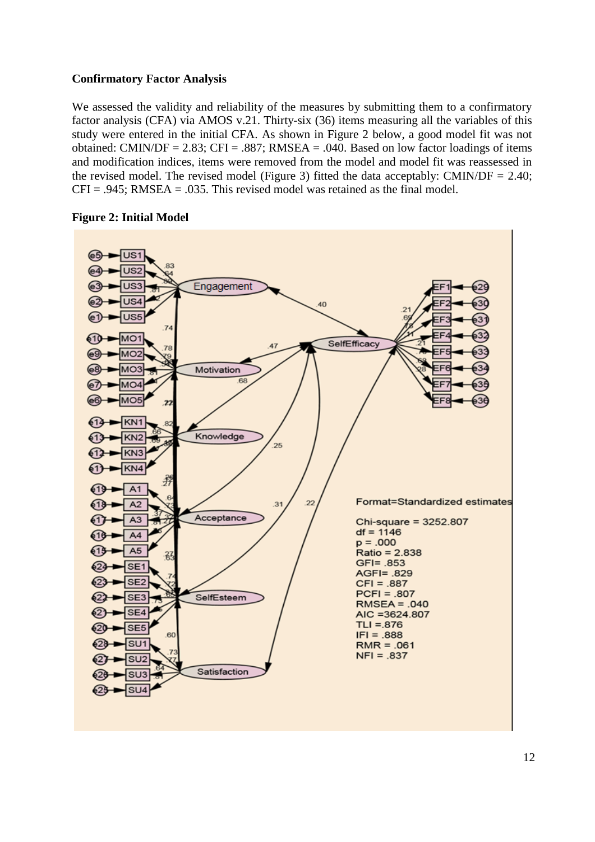# **Confirmatory Factor Analysis**

We assessed the validity and reliability of the measures by submitting them to a confirmatory factor analysis (CFA) via AMOS v.21. Thirty-six (36) items measuring all the variables of this study were entered in the initial CFA. As shown in Figure 2 below, a good model fit was not obtained: CMIN/DF = 2.83; CFI = .887; RMSEA = .040. Based on low factor loadings of items and modification indices, items were removed from the model and model fit was reassessed in the revised model. The revised model (Figure 3) fitted the data acceptably: CMIN/DF =  $2.40$ ;  $CFI = .945$ ; RMSEA = .035. This revised model was retained as the final model.

# **Figure 2: Initial Model**

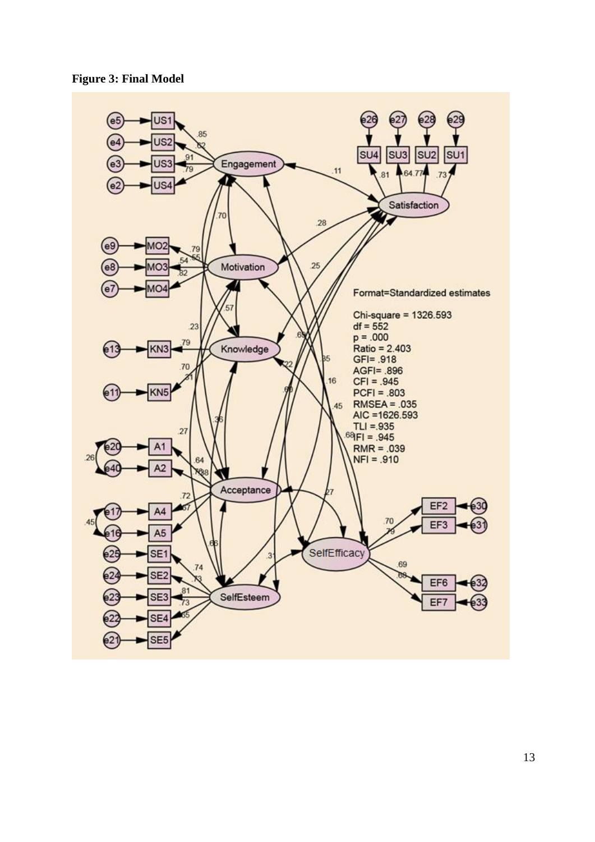**Figure 3: Final Model**

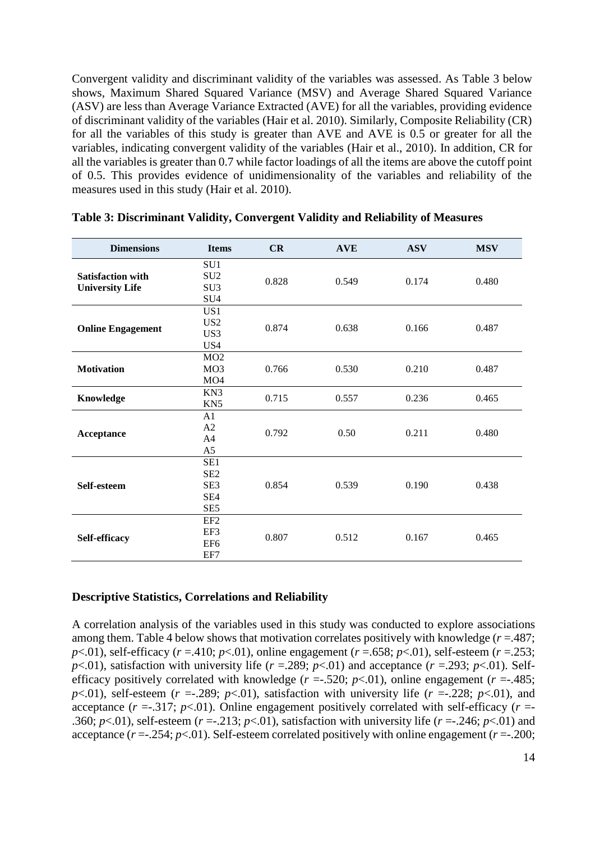Convergent validity and discriminant validity of the variables was assessed. As Table 3 below shows, Maximum Shared Squared Variance (MSV) and Average Shared Squared Variance (ASV) are less than Average Variance Extracted (AVE) for all the variables, providing evidence of discriminant validity of the variables (Hair et al. 2010). Similarly, Composite Reliability (CR) for all the variables of this study is greater than AVE and AVE is 0.5 or greater for all the variables, indicating convergent validity of the variables (Hair et al., 2010). In addition, CR for all the variables is greater than 0.7 while factor loadings of all the items are above the cutoff point of 0.5. This provides evidence of unidimensionality of the variables and reliability of the measures used in this study (Hair et al. 2010).

| <b>Dimensions</b>                                  | <b>Items</b>                                                             | CR    | <b>AVE</b> | <b>ASV</b> | <b>MSV</b> |
|----------------------------------------------------|--------------------------------------------------------------------------|-------|------------|------------|------------|
| <b>Satisfaction with</b><br><b>University Life</b> | SU <sub>1</sub><br>SU <sub>2</sub><br>SU <sub>3</sub><br>SU <sub>4</sub> | 0.828 | 0.549      | 0.174      | 0.480      |
| <b>Online Engagement</b>                           | US1<br>US <sub>2</sub><br>US3<br>US4                                     | 0.874 | 0.638      | 0.166      | 0.487      |
| <b>Motivation</b>                                  | MO2<br>MO <sub>3</sub><br>MO <sub>4</sub>                                | 0.766 | 0.530      | 0.210      | 0.487      |
| Knowledge                                          | KN3<br>KN <sub>5</sub>                                                   | 0.715 | 0.557      | 0.236      | 0.465      |
| Acceptance                                         | A1<br>A2<br>A4<br>A <sub>5</sub>                                         | 0.792 | 0.50       | 0.211      | 0.480      |
| Self-esteem                                        | SE1<br>SE <sub>2</sub><br>SE <sub>3</sub><br>SE4<br>SE <sub>5</sub>      | 0.854 | 0.539      | 0.190      | 0.438      |
| Self-efficacy                                      | EF <sub>2</sub><br>EF3<br>EF <sub>6</sub><br>EF7                         | 0.807 | 0.512      | 0.167      | 0.465      |

#### **Table 3: Discriminant Validity, Convergent Validity and Reliability of Measures**

## **Descriptive Statistics, Correlations and Reliability**

A correlation analysis of the variables used in this study was conducted to explore associations among them. Table 4 below shows that motivation correlates positively with knowledge (*r* =.487; *p*<.01), self-efficacy (*r* =.410; *p*<.01), online engagement (*r* =.658; *p*<.01), self-esteem (*r* =.253;  $p$ <.01), satisfaction with university life ( $r = 0.289$ ;  $p$ <.01) and acceptance ( $r = 0.293$ ;  $p$ <.01). Selfefficacy positively correlated with knowledge  $(r = .520; p < .01)$ , online engagement  $(r = .485;$  $p<01$ , self-esteem ( $r = 0.289$ ;  $p<01$ ), satisfaction with university life ( $r = 0.228$ ;  $p<01$ ), and acceptance  $(r = 0.317; p < 0.01)$ . Online engagement positively correlated with self-efficacy  $(r = 0.317; p < 0.01)$ . .360;  $p<.01$ ), self-esteem ( $r = 0.213$ ;  $p<.01$ ), satisfaction with university life ( $r = 0.246$ ;  $p<.01$ ) and acceptance  $(r = .254; p < .01)$ . Self-esteem correlated positively with online engagement  $(r = .200;$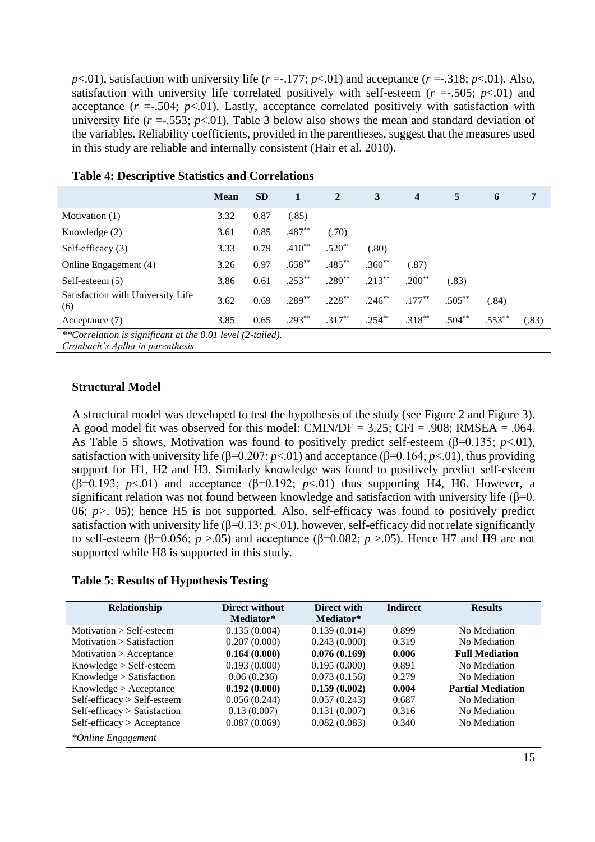*p*<.01), satisfaction with university life (*r* =-.177; *p*<.01) and acceptance (*r* =-.318; *p*<.01). Also, satisfaction with university life correlated positively with self-esteem  $(r = .505; p < .01)$  and acceptance  $(r = .504; p < .01)$ . Lastly, acceptance correlated positively with satisfaction with university life  $(r = .553; p < .01)$ . Table 3 below also shows the mean and standard deviation of the variables. Reliability coefficients, provided in the parentheses, suggest that the measures used in this study are reliable and internally consistent (Hair et al. 2010).

|                                                            | <b>Mean</b> | <b>SD</b> | 1         | $\overline{2}$ | 3         | $\boldsymbol{4}$ | 5         | 6         | 7     |
|------------------------------------------------------------|-------------|-----------|-----------|----------------|-----------|------------------|-----------|-----------|-------|
| Motivation (1)                                             | 3.32        | 0.87      | (.85)     |                |           |                  |           |           |       |
| Knowledge (2)                                              | 3.61        | 0.85      | $.487**$  | (.70)          |           |                  |           |           |       |
| Self-efficacy (3)                                          | 3.33        | 0.79      | $.410**$  | $.520**$       | (.80)     |                  |           |           |       |
| Online Engagement (4)                                      | 3.26        | 0.97      | $.658**$  | $.485***$      | $.360**$  | (.87)            |           |           |       |
| Self-esteem (5)                                            | 3.86        | 0.61      | $.253***$ | $.289***$      | $.213***$ | $.200**$         | (.83)     |           |       |
| Satisfaction with University Life<br>(6)                   | 3.62        | 0.69      | $.289**$  | $.228***$      | $.246**$  | $.177***$        | $.505***$ | (.84)     |       |
| Acceptance (7)                                             | 3.85        | 0.65      | $.293***$ | $.317***$      | $.254***$ | $.318***$        | $.504***$ | $.553***$ | (.83) |
| **Correlation is significant at the 0.01 level (2-tailed). |             |           |           |                |           |                  |           |           |       |

# **Table 4: Descriptive Statistics and Correlations**

*Cronbach's Aplha in parenthesis*

#### **Structural Model**

A structural model was developed to test the hypothesis of the study (see Figure 2 and Figure 3). A good model fit was observed for this model: CMIN/DF =  $3.25$ ; CFI =  $.908$ ; RMSEA =  $.064$ . As Table 5 shows, Motivation was found to positively predict self-esteem ( $\beta$ =0.135; *p*<.01), satisfaction with university life (β=0.207; *p*<.01) and acceptance (β=0.164; *p*<.01), thus providing support for H1, H2 and H3. Similarly knowledge was found to positively predict self-esteem ( $\beta$ =0.193; *p*<.01) and acceptance ( $\beta$ =0.192; *p*<.01) thus supporting H4, H6. However, a significant relation was not found between knowledge and satisfaction with university life ( $\beta$ =0. 06; *p>*. 05); hence H5 is not supported. Also, self-efficacy was found to positively predict satisfaction with university life ( $\beta$ =0.13; *p*<.01), however, self-efficacy did not relate significantly to self-esteem (β=0.056;  $p > 0.05$ ) and acceptance (β=0.082;  $p > 0.05$ ). Hence H7 and H9 are not supported while H8 is supported in this study.

#### **Table 5: Results of Hypothesis Testing**

| Relationship                                | <b>Direct without</b> | Direct with  | <b>Indirect</b> | <b>Results</b>           |
|---------------------------------------------|-----------------------|--------------|-----------------|--------------------------|
|                                             | Mediator*             | Mediator*    |                 |                          |
| $Motivation > Self-esteem$                  | 0.135(0.004)          | 0.139(0.014) | 0.899           | No Mediation             |
| Motivation $\geq$ Satisfaction              | 0.207(0.000)          | 0.243(0.000) | 0.319           | No Mediation             |
| Motivation > Acceptance                     | 0.164(0.000)          | 0.076(0.169) | 0.006           | <b>Full Mediation</b>    |
| $Knowledge > Self-esteem$                   | 0.193(0.000)          | 0.195(0.000) | 0.891           | No Mediation             |
| Knowledge > Satisfaction                    | 0.06(0.236)           | 0.073(0.156) | 0.279           | No Mediation             |
| Knowledge > Acceptance                      | 0.192(0.000)          | 0.159(0.002) | 0.004           | <b>Partial Mediation</b> |
| $Self\text{-efficacy} > Self\text{-}esteem$ | 0.056(0.244)          | 0.057(0.243) | 0.687           | No Mediation             |
| $Self\text{-efficacy} > Satisfacation$      | 0.13(0.007)           | 0.131(0.007) | 0.316           | No Mediation             |
| $Self\text{-efficacy} > Acceptance$         | 0.087(0.069)          | 0.082(0.083) | 0.340           | No Mediation             |
| *Online Engagement                          |                       |              |                 |                          |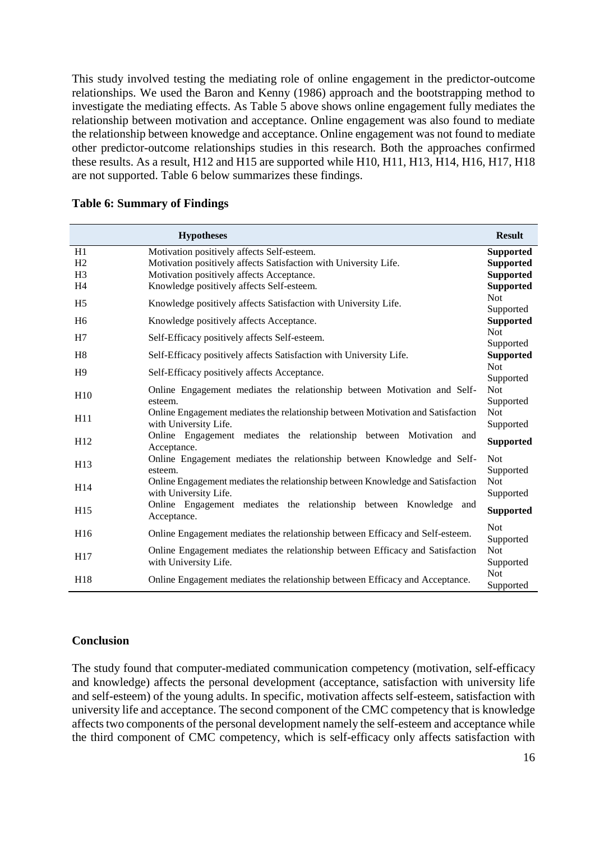This study involved testing the mediating role of online engagement in the predictor-outcome relationships. We used the Baron and Kenny (1986) approach and the bootstrapping method to investigate the mediating effects. As Table 5 above shows online engagement fully mediates the relationship between motivation and acceptance. Online engagement was also found to mediate the relationship between knowedge and acceptance. Online engagement was not found to mediate other predictor-outcome relationships studies in this research. Both the approaches confirmed these results. As a result, H12 and H15 are supported while H10, H11, H13, H14, H16, H17, H18 are not supported. Table 6 below summarizes these findings.

|                                              | <b>Hypotheses</b>                                                                                                                                                                                        | <b>Result</b>                                                                |
|----------------------------------------------|----------------------------------------------------------------------------------------------------------------------------------------------------------------------------------------------------------|------------------------------------------------------------------------------|
| H1<br>H2<br>H <sub>3</sub><br>H <sub>4</sub> | Motivation positively affects Self-esteem.<br>Motivation positively affects Satisfaction with University Life.<br>Motivation positively affects Acceptance.<br>Knowledge positively affects Self-esteem. | <b>Supported</b><br><b>Supported</b><br><b>Supported</b><br><b>Supported</b> |
| H <sub>5</sub>                               | Knowledge positively affects Satisfaction with University Life.                                                                                                                                          | <b>Not</b><br>Supported                                                      |
| H <sub>6</sub><br>H7<br>H8                   | Knowledge positively affects Acceptance.<br>Self-Efficacy positively affects Self-esteem.<br>Self-Efficacy positively affects Satisfaction with University Life.                                         | <b>Supported</b><br><b>Not</b><br>Supported<br><b>Supported</b>              |
| H <sup>9</sup>                               | Self-Efficacy positively affects Acceptance.                                                                                                                                                             | <b>Not</b><br>Supported                                                      |
| H10                                          | Online Engagement mediates the relationship between Motivation and Self-<br>esteem.<br>Online Engagement mediates the relationship between Motivation and Satisfaction                                   | <b>Not</b><br>Supported<br><b>Not</b>                                        |
| H11                                          | with University Life.<br>Online Engagement mediates the relationship between Motivation and                                                                                                              | Supported                                                                    |
| H <sub>12</sub>                              | Acceptance.<br>Online Engagement mediates the relationship between Knowledge and Self-                                                                                                                   | <b>Supported</b><br><b>Not</b>                                               |
| H <sub>13</sub><br>H <sub>14</sub>           | esteem.<br>Online Engagement mediates the relationship between Knowledge and Satisfaction<br>with University Life.                                                                                       | Supported<br><b>Not</b><br>Supported                                         |
| H15                                          | Online Engagement mediates the relationship between Knowledge<br>and<br>Acceptance.                                                                                                                      | <b>Supported</b>                                                             |
| H <sub>16</sub>                              | Online Engagement mediates the relationship between Efficacy and Self-esteem.                                                                                                                            | <b>Not</b><br>Supported                                                      |
| H <sub>17</sub>                              | Online Engagement mediates the relationship between Efficacy and Satisfaction<br>with University Life.                                                                                                   | <b>Not</b><br>Supported                                                      |
| H <sub>18</sub>                              | Online Engagement mediates the relationship between Efficacy and Acceptance.                                                                                                                             | <b>Not</b><br>Supported                                                      |

#### **Table 6: Summary of Findings**

#### **Conclusion**

The study found that computer-mediated communication competency (motivation, self-efficacy and knowledge) affects the personal development (acceptance, satisfaction with university life and self-esteem) of the young adults. In specific, motivation affects self-esteem, satisfaction with university life and acceptance. The second component of the CMC competency that is knowledge affects two components of the personal development namely the self-esteem and acceptance while the third component of CMC competency, which is self-efficacy only affects satisfaction with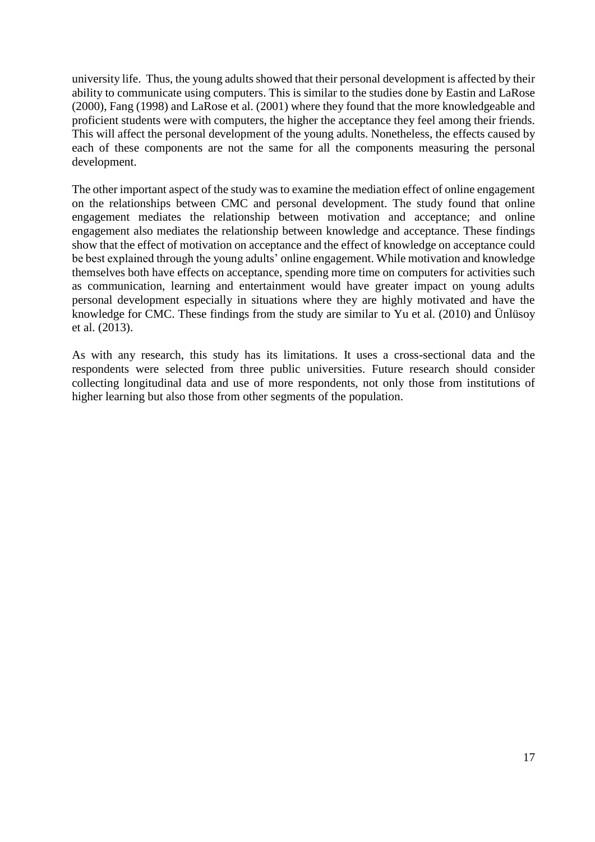university life. Thus, the young adults showed that their personal development is affected by their ability to communicate using computers. This is similar to the studies done by Eastin and LaRose (2000), Fang (1998) and LaRose et al. (2001) where they found that the more knowledgeable and proficient students were with computers, the higher the acceptance they feel among their friends. This will affect the personal development of the young adults. Nonetheless, the effects caused by each of these components are not the same for all the components measuring the personal development.

The other important aspect of the study was to examine the mediation effect of online engagement on the relationships between CMC and personal development. The study found that online engagement mediates the relationship between motivation and acceptance; and online engagement also mediates the relationship between knowledge and acceptance. These findings show that the effect of motivation on acceptance and the effect of knowledge on acceptance could be best explained through the young adults' online engagement. While motivation and knowledge themselves both have effects on acceptance, spending more time on computers for activities such as communication, learning and entertainment would have greater impact on young adults personal development especially in situations where they are highly motivated and have the knowledge for CMC. These findings from the study are similar to Yu et al. (2010) and Ünlüsoy et al. (2013).

As with any research, this study has its limitations. It uses a cross-sectional data and the respondents were selected from three public universities. Future research should consider collecting longitudinal data and use of more respondents, not only those from institutions of higher learning but also those from other segments of the population.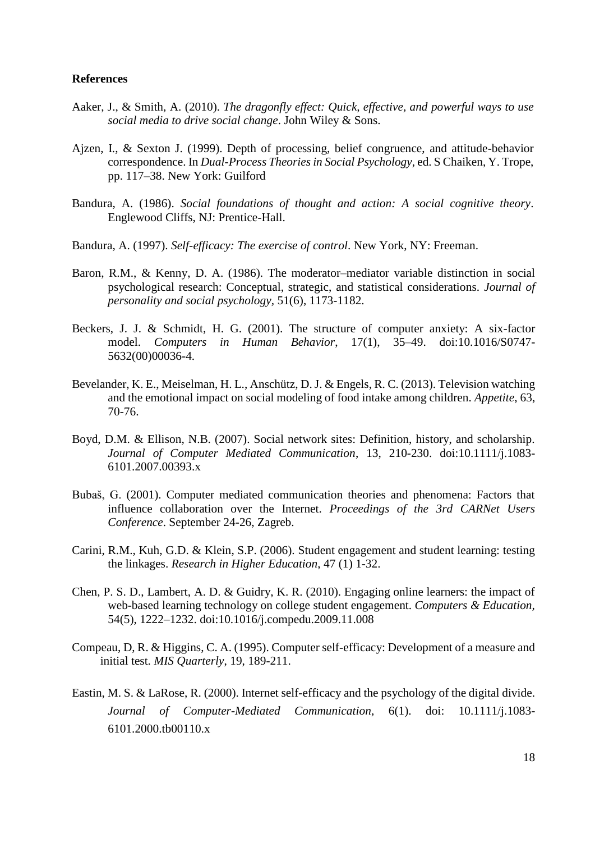#### **References**

- Aaker, J., & Smith, A. (2010). *The dragonfly effect: Quick, effective, and powerful ways to use social media to drive social change*. John Wiley & Sons.
- Ajzen, I., & Sexton J. (1999). Depth of processing, belief congruence, and attitude-behavior correspondence. In *Dual-Process Theories in Social Psychology*, ed. S Chaiken, Y. Trope, pp. 117–38. New York: Guilford
- Bandura, A. (1986). *Social foundations of thought and action: A social cognitive theory*. Englewood Cliffs, NJ: Prentice-Hall.
- Bandura, A. (1997). *Self-efficacy: The exercise of control*. New York, NY: Freeman.
- Baron, R.M., & Kenny, D. A. (1986). The moderator–mediator variable distinction in social psychological research: Conceptual, strategic, and statistical considerations. *Journal of personality and social psychology,* 51(6), 1173-1182.
- Beckers, J. J. & Schmidt, H. G. (2001). The structure of computer anxiety: A six-factor model. *Computers in Human Behavior*, 17(1), 35–49. doi:10.1016/S0747- 5632(00)00036-4.
- Bevelander, K. E., Meiselman, H. L., Anschütz, D. J. & Engels, R. C. (2013). Television watching and the emotional impact on social modeling of food intake among children. *Appetite*, 63, 70-76.
- Boyd, D.M. & Ellison, N.B. (2007). Social network sites: Definition, history, and scholarship. *Journal of Computer Mediated Communication*, 13, 210-230. doi:10.1111/j.1083- 6101.2007.00393.x
- Bubaš, G. (2001). Computer mediated communication theories and phenomena: Factors that influence collaboration over the Internet. *Proceedings of the 3rd CARNet Users Conference*. September 24-26, Zagreb.
- Carini, R.M., Kuh, G.D. & Klein, S.P. (2006). Student engagement and student learning: testing the linkages. *Research in Higher Education*, 47 (1) 1-32.
- Chen, P. S. D., Lambert, A. D. & Guidry, K. R. (2010). Engaging online learners: the impact of web-based learning technology on college student engagement. *Computers & Education,* 54(5), 1222–1232. doi:10.1016/j.compedu.2009.11.008
- Compeau, D, R. & Higgins, C. A. (1995). Computer self-efficacy: Development of a measure and initial test. *MIS Quarterly*, 19, 189-211.
- Eastin, M. S. & LaRose, R. (2000). Internet self-efficacy and the psychology of the digital divide. *Journal of Computer-Mediated Communication*, 6(1). doi: 10.1111/j.1083- 6101.2000.tb00110.x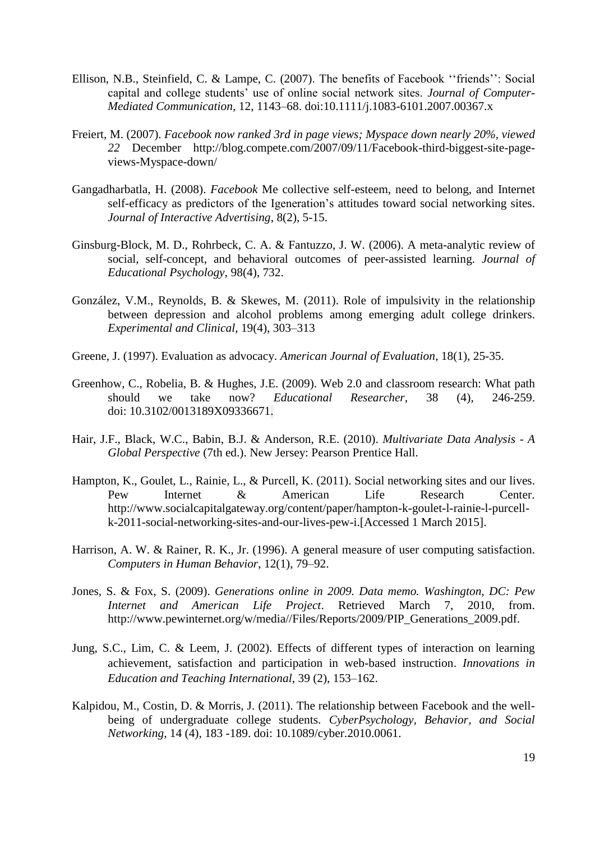- Ellison, N.B., Steinfield, C. & Lampe, C. (2007). The benefits of Facebook ''friends'': Social capital and college students' use of online social network sites. *Journal of Computer-Mediated Communication,* 12, 1143–68. doi:10.1111/j.1083-6101.2007.00367.x
- Freiert, M. (2007). *Facebook now ranked 3rd in page views; Myspace down nearly 20%, viewed 22* December http://blog.compete.com/2007/09/11/Facebook-third-biggest-site-pageviews-Myspace-down/
- Gangadharbatla, H. (2008). *Facebook* Me collective self-esteem, need to belong, and Internet self-efficacy as predictors of the Igeneration's attitudes toward social networking sites. *Journal of Interactive Advertising*, 8(2), 5-15.
- Ginsburg-Block, M. D., Rohrbeck, C. A. & Fantuzzo, J. W. (2006). A meta-analytic review of social, self-concept, and behavioral outcomes of peer-assisted learning. *Journal of Educational Psychology*, 98(4), 732.
- González, V.M., Reynolds, B. & Skewes, M. (2011). Role of impulsivity in the relationship between depression and alcohol problems among emerging adult college drinkers. *Experimental and Clinical*, 19(4), 303–313
- Greene, J. (1997). Evaluation as advocacy. *American Journal of Evaluation*, 18(1), 25-35.
- [Greenhow,](http://edr.sagepub.com/search?author1=Christine+Greenhow&sortspec=date&submit=Submit) C., [Robelia,](http://edr.sagepub.com/search?author1=Beth+Robelia&sortspec=date&submit=Submit) B. & Hughes, J.E. (2009). Web 2.0 and classroom research: What path should we take now? *Educational Researcher,* 38 (4), 246-259. doi: 10.3102/0013189X09336671.
- Hair, J.F., Black, W.C., Babin, B.J. & Anderson, R.E. (2010). *Multivariate Data Analysis - A Global Perspective* (7th ed.). New Jersey: Pearson Prentice Hall.
- Hampton, K., Goulet, L., Rainie, L., & Purcell, K. (2011). Social networking sites and our lives. Pew Internet & American Life Research Center. http://www.socialcapitalgateway.org/content/paper/hampton-k-goulet-l-rainie-l-purcellk-2011-social-networking-sites-and-our-lives-pew-i.[Accessed 1 March 2015].
- Harrison, A. W. & Rainer, R. K., Jr. (1996). A general measure of user computing satisfaction. *Computers in Human Behavior*, 12(1), 79–92.
- Jones, S. & Fox, S. (2009). *Generations online in 2009. Data memo. Washington, DC: Pew Internet and American Life Project*. Retrieved March 7, 2010, from. http://www.pewinternet.org/w/media//Files/Reports/2009/PIP\_Generations\_2009.pdf.
- Jung, S.C., Lim, C. & Leem, J. (2002). Effects of different types of interaction on learning achievement, satisfaction and participation in web-based instruction. *Innovations in Education and Teaching International*, 39 (2), 153–162.
- Kalpidou, M., Costin, D. & Morris, J. (2011). The relationship between Facebook and the wellbeing of undergraduate college students. *CyberPsychology, Behavior, and Social Networking*, 14 (4), 183 -189. doi: 10.1089/cyber.2010.0061.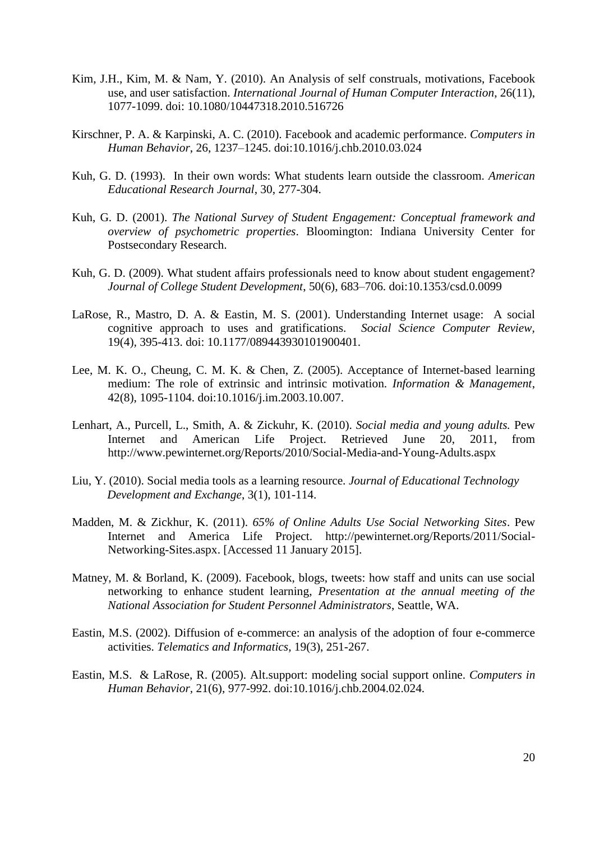- Kim, J.H., Kim, M. & Nam, Y. (2010). An Analysis of self construals, motivations, Facebook use, and user satisfaction. *International Journal of Human Computer Interaction*, 26(11), 1077-1099. doi: 10.1080/10447318.2010.516726
- Kirschner, P. A. & Karpinski, A. C. (2010). Facebook and academic performance. *Computers in Human Behavior*, 26, 1237–1245. doi:10.1016/j.chb.2010.03.024
- Kuh, G. D. (1993). In their own words: What students learn outside the classroom. *American Educational Research Journal*, 30, 277-304.
- Kuh, G. D. (2001). *The National Survey of Student Engagement: Conceptual framework and overview of psychometric properties*. Bloomington: Indiana University Center for Postsecondary Research.
- Kuh, G. D. (2009). What student affairs professionals need to know about student engagement? *Journal of College Student Development*, 50(6), 683–706. doi:10.1353/csd.0.0099
- LaRose, R., Mastro, D. A. & Eastin, M. S. (2001). Understanding Internet usage: A social cognitive approach to uses and gratifications. *Social Science Computer Review,*  19(4)*,* 395-413. doi: 10.1177/089443930101900401.
- Lee, M. K. O., Cheung, C. M. K. & Chen, Z. (2005). Acceptance of Internet-based learning medium: The role of extrinsic and intrinsic motivation. *Information & Management*, 42(8), 1095-1104. doi:10.1016/j.im.2003.10.007.
- Lenhart, A., Purcell, L., Smith, A. & Zickuhr, K. (2010). *Social media and young adults.* Pew Internet and American Life Project. Retrieved June 20, 2011, from http://www.pewinternet.org/Reports/2010/Social-Media-and-Young-Adults.aspx
- Liu, Y. (2010). Social media tools as a learning resource. *Journal of Educational Technology Development and Exchange*, 3(1), 101-114.
- Madden, M. & Zickhur, K. (2011). *65% of Online Adults Use Social Networking Sites*. Pew Internet and America Life Project. http://pewinternet.org/Reports/2011/Social-Networking-Sites.aspx. [Accessed 11 January 2015].
- Matney, M. & Borland, K. (2009). Facebook, blogs, tweets: how staff and units can use social networking to enhance student learning, *Presentation at the annual meeting of the National Association for Student Personnel Administrators*, Seattle, WA.
- Eastin, M.S. (2002). Diffusion of e-commerce: an analysis of the adoption of four e-commerce activities. *Telematics and [Informatics](http://www.sciencedirect.com/science/journal/07365853)*, 19(3), 251-267.
- Eastin, M.S. & LaRose, R. (2005). Alt.support: modeling social support online. *[Computers](http://www.sciencedirect.com/science/journal/07475632) in Human [Behavior,](http://www.sciencedirect.com/science/journal/07475632)* 21(6), 977-992. doi:10.1016/j.chb.2004.02.024.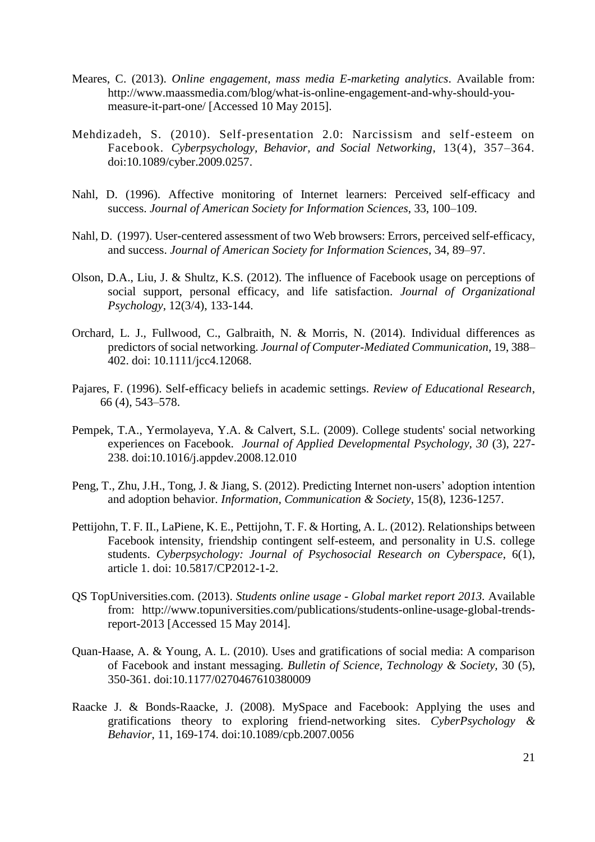- Meares, C. (2013). *Online engagement, mass media E-marketing analytics*. Available from: http://www.maassmedia.com/blog/what-is-online-engagement-and-why-should-youmeasure-it-part-one/ [Accessed 10 May 2015].
- Mehdizadeh, S. (2010). Self-presentation 2.0: Narcissism and self-esteem on Facebook. *Cyberpsychology, Behavior, and Social Networking*, 13(4), 357–364. doi:10.1089/cyber.2009.0257.
- Nahl, D. (1996). Affective monitoring of Internet learners: Perceived self-efficacy and success. *Journal of American Society for Information Sciences*, 33, 100–109.
- Nahl, D. (1997). User-centered assessment of two Web browsers: Errors, perceived self-efficacy, and success. *Journal of American Society for Information Sciences*, 34, 89–97.
- Olson, D.A., Liu, J. & Shultz, K.S. (2012). The influence of Facebook usage on perceptions of social support, personal efficacy, and life satisfaction. *Journal of Organizational Psychology*, 12(3/4), 133-144.
- Orchard, L. J., Fullwood, C., Galbraith, N. & Morris, N. (2014). Individual differences as predictors of social networking. *Journal of Computer-Mediated Communication*, 19, 388– 402. doi: 10.1111/jcc4.12068.
- Pajares, F. (1996). Self-efficacy beliefs in academic settings. *Review of Educational Research*, 66 (4), 543–578.
- Pempek, T.A., Yermolayeva, Y.A. & Calvert, S.L. (2009). College students' social networking experiences on Facebook. *Journal of Applied Developmental Psychology, 30* (3), 227- 238. doi:10.1016/j.appdev.2008.12.010
- Peng, T., Zhu, J.H., Tong, J. & Jiang, S. (2012). Predicting Internet non-users' adoption intention and adoption behavior. *Information, Communication & Society*, 15(8), 1236-1257.
- Pettijohn, T. F. II., LaPiene, K. E., Pettijohn, T. F. & Horting, A. L. (2012). Relationships between Facebook intensity, friendship contingent self-esteem, and personality in U.S. college students. *Cyberpsychology: Journal of Psychosocial Research on Cyberspace*, 6(1), article 1. doi: 10.5817/CP2012-1-2.
- QS TopUniversities.com. (2013). *Students online usage - Global market report 2013.* Available from: [http://www.topuniversities.com/publications/students-online-usage-global-trends](http://www.topuniversities.com/publications/students-online-usage-global-trends-report-2013%20%5bAccessed)[report-2013 \[Accessed](http://www.topuniversities.com/publications/students-online-usage-global-trends-report-2013%20%5bAccessed) 15 May 2014].
- Quan-Haase, A. & Young, A. L. (2010). Uses and gratifications of social media: A comparison of Facebook and instant messaging. *Bulletin of Science, Technology & Society,* 30 (5), 350-361. doi:10.1177/0270467610380009
- Raacke J. & Bonds-Raacke, J. (2008). MySpace and Facebook: Applying the uses and gratifications theory to exploring friend-networking sites. *CyberPsychology & Behavior*, 11, 169-174. doi:10.1089/cpb.2007.0056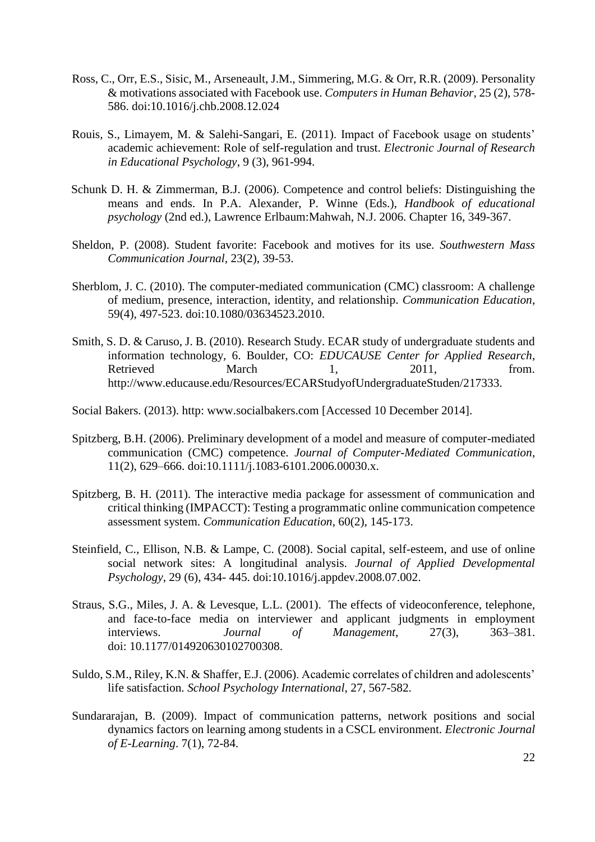- Ross, C., Orr, E.S., Sisic, M., Arseneault, J.M., Simmering, M.G. & Orr, R.R. (2009). Personality & motivations associated with Facebook use. *Computers in Human Behavior*, 25 (2), 578- 586. doi:10.1016/j.chb.2008.12.024
- Rouis, S., Limayem, M. & Salehi-Sangari, E. (2011). Impact of Facebook usage on students' academic achievement: Role of self-regulation and trust. *Electronic Journal of Research in Educational Psychology*, 9 (3), 961-994.
- Schunk D. H. & Zimmerman, B.J. (2006). Competence and control beliefs: Distinguishing the means and ends. In P.A. Alexander, P. Winne (Eds.), *Handbook of educational psychology* (2nd ed.), Lawrence Erlbaum:Mahwah, N.J. 2006. Chapter 16, 349-367.
- Sheldon, P. (2008). Student favorite: Facebook and motives for its use. *Southwestern Mass Communication Journal,* 23(2), 39-53.
- Sherblom, J. C. (2010). The computer-mediated communication (CMC) classroom: A challenge of medium, presence, interaction, identity, and relationship. *Communication Education*, 59(4), 497-523. doi:10.1080/03634523.2010.
- Smith, S. D. & Caruso, J. B. (2010). Research Study. ECAR study of undergraduate students and information technology, 6. Boulder, CO: *EDUCAUSE Center for Applied Research*, Retrieved March 1, 2011, from. http://www.educause.edu/Resources/ECARStudyofUndergraduateStuden/217333.

Social Bakers. (2013). http: www.socialbakers.com [Accessed 10 December 2014].

- Spitzberg, B.H. (2006). Preliminary development of a model and measure of computer-mediated communication (CMC) competence. *Journal of Computer-Mediated Communication*, 11(2), 629–666. doi:10.1111/j.1083-6101.2006.00030.x.
- Spitzberg, B. H. (2011). The interactive media package for assessment of communication and critical thinking (IMPACCT): Testing a programmatic online communication competence assessment system. *Communication Education*, 60(2), 145-173.
- Steinfield, C., Ellison, N.B. & Lampe, C. (2008). Social capital, self-esteem, and use of online social network sites: A longitudinal analysis. *Journal of Applied Developmental Psychology*, 29 (6), 434- 445. doi:10.1016/j.appdev.2008.07.002.
- Straus, S.G., Miles, J. A. & Levesque, L.L. (2001). The effects of videoconference, telephone, and face-to-face media on interviewer and applicant judgments in employment interviews. *Journal of Management*, 27(3), 363–381. doi: 10.1177/014920630102700308.
- Suldo, S.M., Riley, K.N. & Shaffer, E.J. (2006). Academic correlates of children and adolescents' life satisfaction. *School Psychology International*, 27, 567-582.
- Sundararajan, B. (2009). Impact of communication patterns, network positions and social dynamics factors on learning among students in a CSCL environment. *Electronic Journal of E-Learning*. 7(1), 72-84.